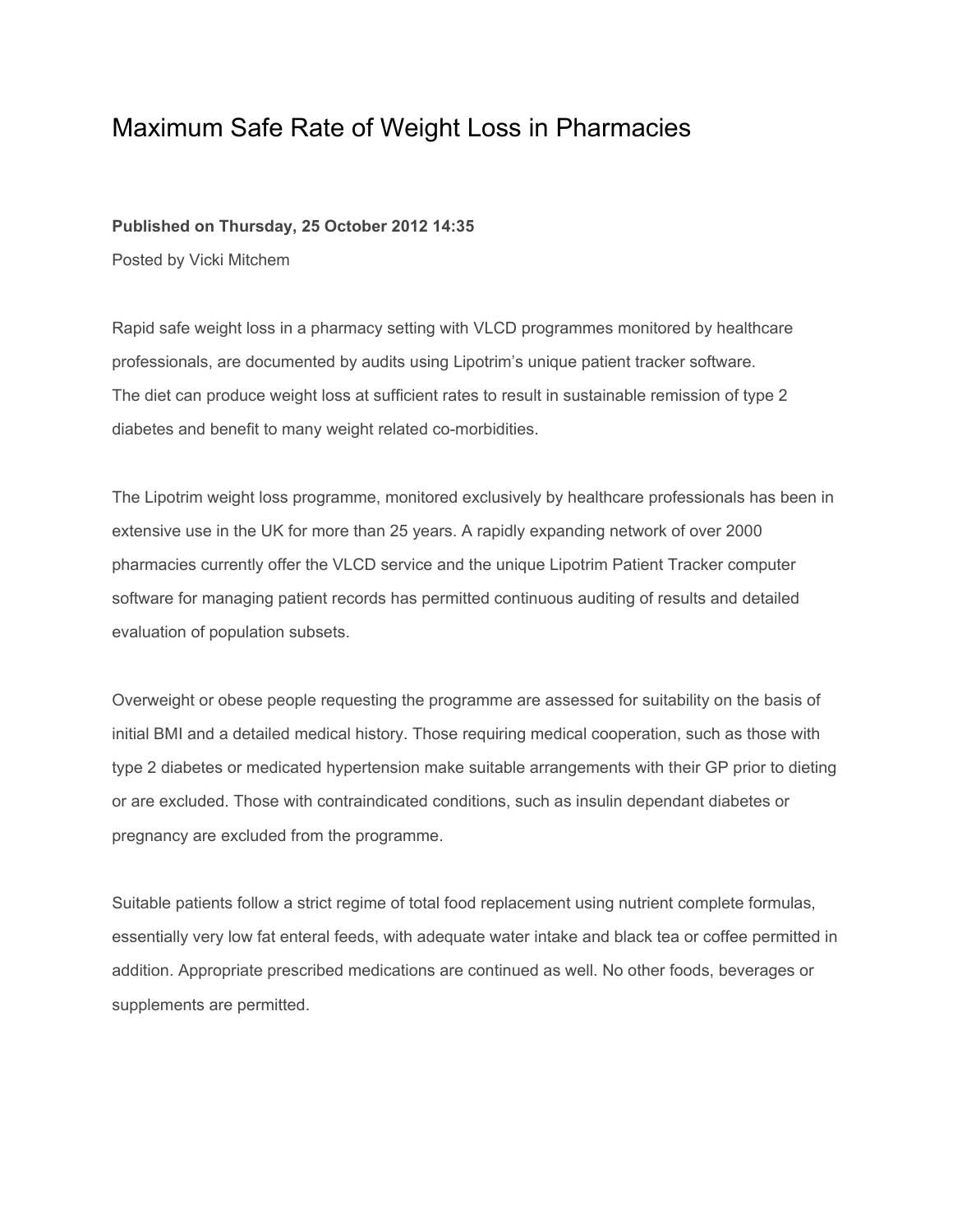## Maximum Safe Rate of Weight Loss in Pharmacies

## **Published on Thursday, 25 October 2012 14:35**

Posted by Vicki Mitchem

Rapid safe weight loss in a pharmacy setting with VLCD programmes monitored by healthcare professionals, are documented by audits using Lipotrim's unique patient tracker software. The diet can produce weight loss at sufficient rates to result in sustainable remission of type 2 diabetes and benefit to many weight related co-morbidities.

The Lipotrim weight loss programme, monitored exclusively by healthcare professionals has been in extensive use in the UK for more than 25 years. A rapidly expanding network of over 2000 pharmacies currently offer the VLCD service and the unique Lipotrim Patient Tracker computer software for managing patient records has permitted continuous auditing of results and detailed evaluation of population subsets.

Overweight or obese people requesting the programme are assessed for suitability on the basis of initial BMI and a detailed medical history. Those requiring medical cooperation, such as those with type 2 diabetes or medicated hypertension make suitable arrangements with their GP prior to dieting or are excluded. Those with contraindicated conditions, such as insulin dependant diabetes or pregnancy are excluded from the programme.

Suitable patients follow a strict regime of total food replacement using nutrient complete formulas, essentially very low fat enteral feeds, with adequate water intake and black tea or coffee permitted in addition. Appropriate prescribed medications are continued as well. No other foods, beverages or supplements are permitted.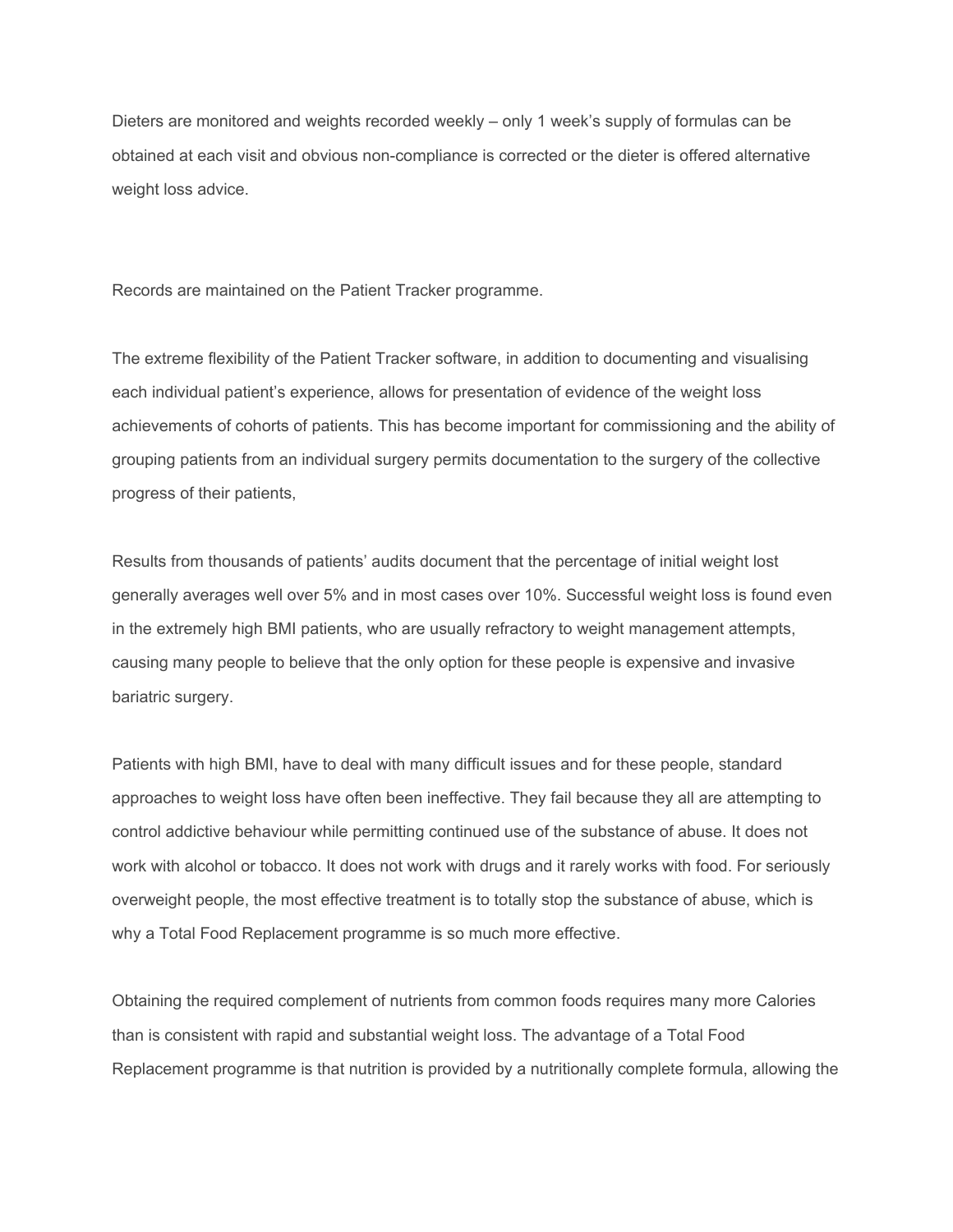Dieters are monitored and weights recorded weekly – only 1 week's supply of formulas can be obtained at each visit and obvious non-compliance is corrected or the dieter is offered alternative weight loss advice.

Records are maintained on the Patient Tracker programme.

The extreme flexibility of the Patient Tracker software, in addition to documenting and visualising each individual patient's experience, allows for presentation of evidence of the weight loss achievements of cohorts of patients. This has become important for commissioning and the ability of grouping patients from an individual surgery permits documentation to the surgery of the collective progress of their patients,

Results from thousands of patients' audits document that the percentage of initial weight lost generally averages well over 5% and in most cases over 10%. Successful weight loss is found even in the extremely high BMI patients, who are usually refractory to weight management attempts, causing many people to believe that the only option for these people is expensive and invasive bariatric surgery.

Patients with high BMI, have to deal with many difficult issues and for these people, standard approaches to weight loss have often been ineffective. They fail because they all are attempting to control addictive behaviour while permitting continued use of the substance of abuse. It does not work with alcohol or tobacco. It does not work with drugs and it rarely works with food. For seriously overweight people, the most effective treatment is to totally stop the substance of abuse, which is why a Total Food Replacement programme is so much more effective.

Obtaining the required complement of nutrients from common foods requires many more Calories than is consistent with rapid and substantial weight loss. The advantage of a Total Food Replacement programme is that nutrition is provided by a nutritionally complete formula, allowing the